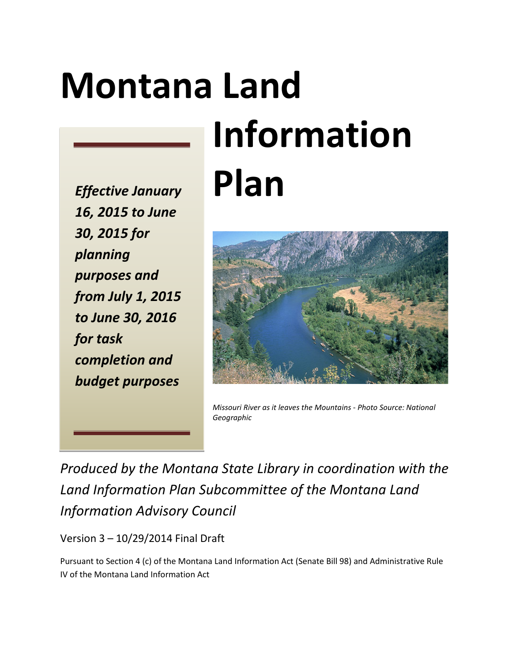# **Montana Land**

*Effective January 16, 2015 to June 30, 2015 for planning purposes and from July 1, 2015 to June 30, 2016 for task completion and budget purposes*

# **Information Plan**



*Missouri River as it leaves the Mountains - Photo Source: National Geographic*

*Produced by the Montana State Library in coordination with the Land Information Plan Subcommittee of the Montana Land Information Advisory Council*

Version 3 – 10/29/2014 Final Draft

Pursuant to Section 4 (c) of the Montana Land Information Act (Senate Bill 98) and Administrative Rule IV of the Montana Land Information Act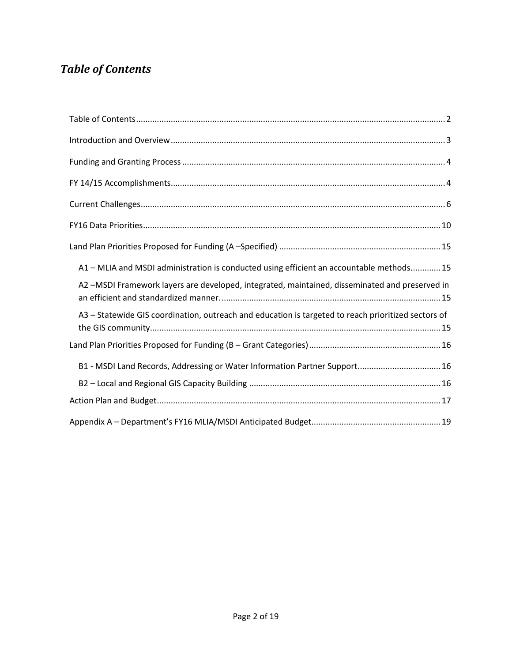# <span id="page-1-0"></span>*Table of Contents*

| A1 - MLIA and MSDI administration is conducted using efficient an accountable methods 15            |
|-----------------------------------------------------------------------------------------------------|
| A2 -MSDI Framework layers are developed, integrated, maintained, disseminated and preserved in      |
| A3 - Statewide GIS coordination, outreach and education is targeted to reach prioritized sectors of |
|                                                                                                     |
| B1 - MSDI Land Records, Addressing or Water Information Partner Support 16                          |
|                                                                                                     |
|                                                                                                     |
|                                                                                                     |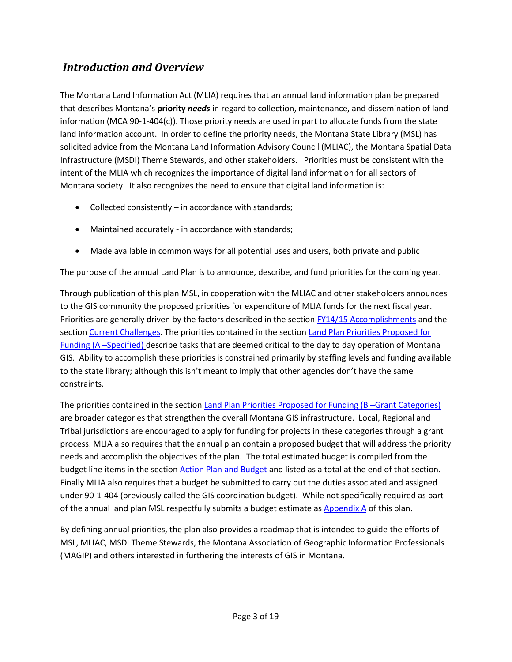# <span id="page-2-0"></span>*Introduction and Overview*

The Montana Land Information Act (MLIA) requires that an annual land information plan be prepared that describes Montana's **priority** *needs* in regard to collection, maintenance, and dissemination of land information (MCA 90-1-404(c)). Those priority needs are used in part to allocate funds from the state land information account. In order to define the priority needs, the Montana State Library (MSL) has solicited advice from the Montana Land Information Advisory Council (MLIAC), the Montana Spatial Data Infrastructure (MSDI) Theme Stewards, and other stakeholders. Priorities must be consistent with the intent of the MLIA which recognizes the importance of digital land information for all sectors of Montana society. It also recognizes the need to ensure that digital land information is:

- Collected consistently in accordance with standards;
- Maintained accurately in accordance with standards;
- Made available in common ways for all potential uses and users, both private and public

The purpose of the annual Land Plan is to announce, describe, and fund priorities for the coming year.

Through publication of this plan MSL, in cooperation with the MLIAC and other stakeholders announces to the GIS community the proposed priorities for expenditure of MLIA funds for the next fiscal year. Priorities are generally driven by the factors described in the section [FY14/15 Accomplishments](#page-3-1) and the sectio[n Current Challenges.](#page-5-0) The priorities contained in the section [Land Plan Priorities Proposed for](#page-14-0)  [Funding \(A –Specified\)](#page-14-0) describe tasks that are deemed critical to the day to day operation of Montana GIS. Ability to accomplish these priorities is constrained primarily by staffing levels and funding available to the state library; although this isn't meant to imply that other agencies don't have the same constraints.

The priorities contained in the section [Land Plan Priorities Proposed for Funding \(B –Grant Categories\)](#page-15-0) are broader categories that strengthen the overall Montana GIS infrastructure. Local, Regional and Tribal jurisdictions are encouraged to apply for funding for projects in these categories through a grant process. MLIA also requires that the annual plan contain a proposed budget that will address the priority needs and accomplish the objectives of the plan. The total estimated budget is compiled from the budget line items in the section [Action Plan and Budget](#page-16-0) and listed as a total at the end of that section. Finally MLIA also requires that a budget be submitted to carry out the duties associated and assigned under 90-1-404 (previously called the GIS coordination budget). While not specifically required as part of the annual land plan MSL respectfully submits a budget estimate a[s Appendix A](#page-18-0) of this plan.

By defining annual priorities, the plan also provides a roadmap that is intended to guide the efforts of MSL, MLIAC, MSDI Theme Stewards, the Montana Association of Geographic Information Professionals (MAGIP) and others interested in furthering the interests of GIS in Montana.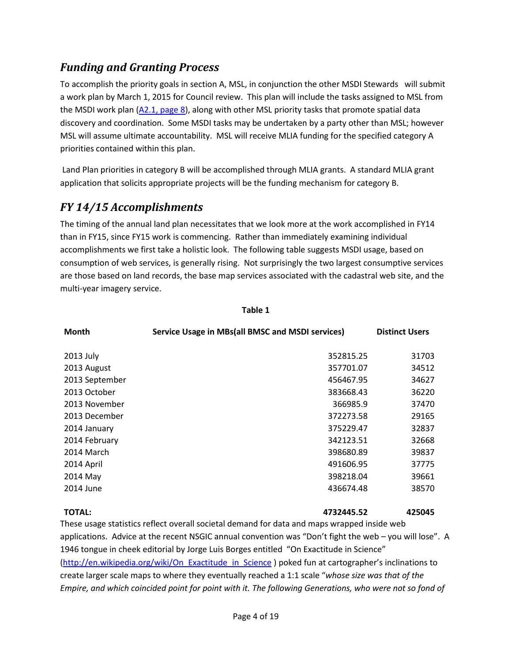# <span id="page-3-0"></span>*Funding and Granting Process*

To accomplish the priority goals in section A, MSL, in conjunction the other MSDI Stewards will submit a work plan by March 1, 2015 for Council review. This plan will include the tasks assigned to MSL from the MSDI work plan  $(A2.1, page 8)$ , along with other MSL priority tasks that promote spatial data discovery and coordination. Some MSDI tasks may be undertaken by a party other than MSL; however MSL will assume ultimate accountability. MSL will receive MLIA funding for the specified category A priorities contained within this plan.

Land Plan priorities in category B will be accomplished through MLIA grants. A standard MLIA grant application that solicits appropriate projects will be the funding mechanism for category B.

# <span id="page-3-1"></span>*FY 14/15 Accomplishments*

The timing of the annual land plan necessitates that we look more at the work accomplished in FY14 than in FY15, since FY15 work is commencing. Rather than immediately examining individual accomplishments we first take a holistic look. The following table suggests MSDI usage, based on consumption of web services, is generally rising. Not surprisingly the two largest consumptive services are those based on land records, the base map services associated with the cadastral web site, and the multi-year imagery service.

| <b>Month</b>   | Service Usage in MBs(all BMSC and MSDI services) | <b>Distinct Users</b> |
|----------------|--------------------------------------------------|-----------------------|
| 2013 July      | 352815.25                                        | 31703                 |
| 2013 August    | 357701.07                                        | 34512                 |
| 2013 September | 456467.95                                        | 34627                 |
| 2013 October   | 383668.43                                        | 36220                 |
| 2013 November  | 366985.9                                         | 37470                 |
| 2013 December  | 372273.58                                        | 29165                 |
| 2014 January   | 375229.47                                        | 32837                 |
| 2014 February  | 342123.51                                        | 32668                 |
| 2014 March     | 398680.89                                        | 39837                 |
| 2014 April     | 491606.95                                        | 37775                 |
| 2014 May       | 398218.04                                        | 39661                 |
| 2014 June      | 436674.48                                        | 38570                 |
|                |                                                  |                       |

#### **Table 1**

**TOTAL: 4732445.52 425045**

These usage statistics reflect overall societal demand for data and maps wrapped inside web applications. Advice at the recent NSGIC annual convention was "Don't fight the web – you will lose". A 1946 tongue in cheek editorial by Jorge Luis Borges entitled "On Exactitude in Science" [\(http://en.wikipedia.org/wiki/On\\_Exactitude\\_in\\_Science](http://en.wikipedia.org/wiki/On_Exactitude_in_Science) ) poked fun at cartographer's inclinations to create larger scale maps to where they eventually reached a 1:1 scale "*whose size was that of the Empire, and which coincided point for point with it. The following Generations, who were not so fond of*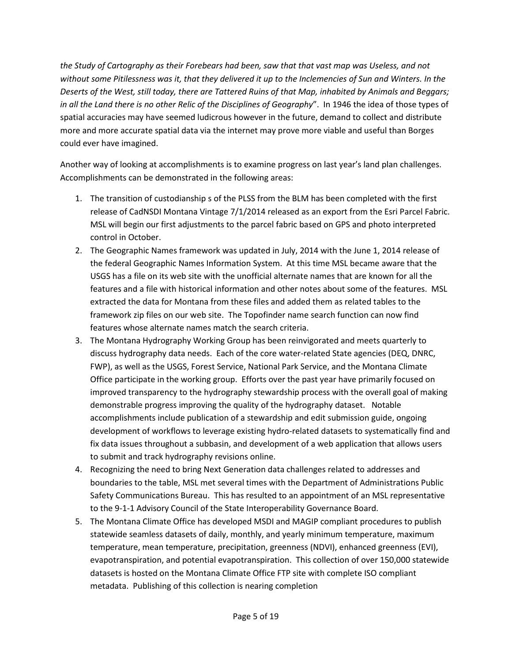*the Study of Cartography as their Forebears had been, saw that that vast map was Useless, and not without some Pitilessness was it, that they delivered it up to the Inclemencies of Sun and Winters. In the Deserts of the West, still today, there are Tattered Ruins of that Map, inhabited by Animals and Beggars; in all the Land there is no other Relic of the Disciplines of Geography*". In 1946 the idea of those types of spatial accuracies may have seemed ludicrous however in the future, demand to collect and distribute more and more accurate spatial data via the internet may prove more viable and useful than Borges could ever have imagined.

Another way of looking at accomplishments is to examine progress on last year's land plan challenges. Accomplishments can be demonstrated in the following areas:

- 1. The transition of custodianship s of the PLSS from the BLM has been completed with the first release of CadNSDI Montana Vintage 7/1/2014 released as an export from the Esri Parcel Fabric. MSL will begin our first adjustments to the parcel fabric based on GPS and photo interpreted control in October.
- 2. The Geographic Names framework was updated in July, 2014 with the June 1, 2014 release of the federal Geographic Names Information System. At this time MSL became aware that the USGS has a file on its web site with the unofficial alternate names that are known for all the features and a file with historical information and other notes about some of the features. MSL extracted the data for Montana from these files and added them as related tables to the framework zip files on our web site. The Topofinder name search function can now find features whose alternate names match the search criteria.
- 3. The Montana Hydrography Working Group has been reinvigorated and meets quarterly to discuss hydrography data needs. Each of the core water-related State agencies (DEQ, DNRC, FWP), as well as the USGS, Forest Service, National Park Service, and the Montana Climate Office participate in the working group. Efforts over the past year have primarily focused on improved transparency to the hydrography stewardship process with the overall goal of making demonstrable progress improving the quality of the hydrography dataset. Notable accomplishments include publication of a stewardship and edit submission guide, ongoing development of workflows to leverage existing hydro-related datasets to systematically find and fix data issues throughout a subbasin, and development of a web application that allows users to submit and track hydrography revisions online.
- 4. Recognizing the need to bring Next Generation data challenges related to addresses and boundaries to the table, MSL met several times with the Department of Administrations Public Safety Communications Bureau. This has resulted to an appointment of an MSL representative to the 9-1-1 Advisory Council of the State Interoperability Governance Board.
- 5. The Montana Climate Office has developed MSDI and MAGIP compliant procedures to publish statewide seamless datasets of daily, monthly, and yearly minimum temperature, maximum temperature, mean temperature, precipitation, greenness (NDVI), enhanced greenness (EVI), evapotranspiration, and potential evapotranspiration. This collection of over 150,000 statewide datasets is hosted on the Montana Climate Office FTP site with complete ISO compliant metadata. Publishing of this collection is nearing completion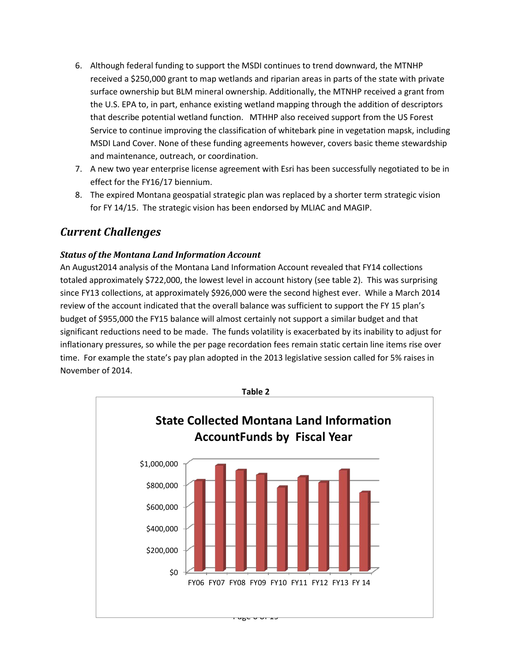- 6. Although federal funding to support the MSDI continues to trend downward, the MTNHP received a \$250,000 grant to map wetlands and riparian areas in parts of the state with private surface ownership but BLM mineral ownership. Additionally, the MTNHP received a grant from the U.S. EPA to, in part, enhance existing wetland mapping through the addition of descriptors that describe potential wetland function. MTHHP also received support from the US Forest Service to continue improving the classification of whitebark pine in vegetation mapsk, including MSDI Land Cover. None of these funding agreements however, covers basic theme stewardship and maintenance, outreach, or coordination.
- 7. A new two year enterprise license agreement with Esri has been successfully negotiated to be in effect for the FY16/17 biennium.
- 8. The expired Montana geospatial strategic plan was replaced by a shorter term strategic vision for FY 14/15. The strategic vision has been endorsed by MLIAC and MAGIP.

# <span id="page-5-0"></span>*Current Challenges*

#### *Status of the Montana Land Information Account*

An August2014 analysis of the Montana Land Information Account revealed that FY14 collections totaled approximately \$722,000, the lowest level in account history (see table 2). This was surprising since FY13 collections, at approximately \$926,000 were the second highest ever. While a March 2014 review of the account indicated that the overall balance was sufficient to support the FY 15 plan's budget of \$955,000 the FY15 balance will almost certainly not support a similar budget and that significant reductions need to be made. The funds volatility is exacerbated by its inability to adjust for inflationary pressures, so while the per page recordation fees remain static certain line items rise over time. For example the state's pay plan adopted in the 2013 legislative session called for 5% raises in November of 2014.

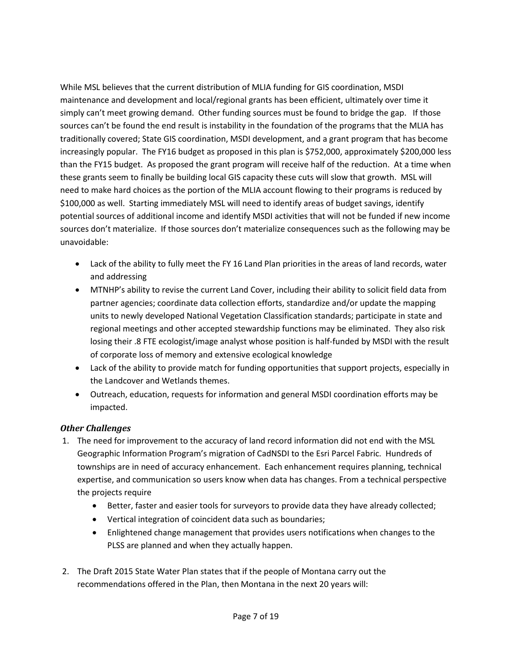While MSL believes that the current distribution of MLIA funding for GIS coordination, MSDI maintenance and development and local/regional grants has been efficient, ultimately over time it simply can't meet growing demand. Other funding sources must be found to bridge the gap. If those sources can't be found the end result is instability in the foundation of the programs that the MLIA has traditionally covered; State GIS coordination, MSDI development, and a grant program that has become increasingly popular. The FY16 budget as proposed in this plan is \$752,000, approximately \$200,000 less than the FY15 budget. As proposed the grant program will receive half of the reduction. At a time when these grants seem to finally be building local GIS capacity these cuts will slow that growth. MSL will need to make hard choices as the portion of the MLIA account flowing to their programs is reduced by \$100,000 as well. Starting immediately MSL will need to identify areas of budget savings, identify potential sources of additional income and identify MSDI activities that will not be funded if new income sources don't materialize. If those sources don't materialize consequences such as the following may be unavoidable:

- Lack of the ability to fully meet the FY 16 Land Plan priorities in the areas of land records, water and addressing
- MTNHP's ability to revise the current Land Cover, including their ability to solicit field data from partner agencies; coordinate data collection efforts, standardize and/or update the mapping units to newly developed National Vegetation Classification standards; participate in state and regional meetings and other accepted stewardship functions may be eliminated. They also risk losing their .8 FTE ecologist/image analyst whose position is half-funded by MSDI with the result of corporate loss of memory and extensive ecological knowledge
- Lack of the ability to provide match for funding opportunities that support projects, especially in the Landcover and Wetlands themes.
- Outreach, education, requests for information and general MSDI coordination efforts may be impacted.

### *Other Challenges*

- 1. The need for improvement to the accuracy of land record information did not end with the MSL Geographic Information Program's migration of CadNSDI to the Esri Parcel Fabric. Hundreds of townships are in need of accuracy enhancement. Each enhancement requires planning, technical expertise, and communication so users know when data has changes. From a technical perspective the projects require
	- Better, faster and easier tools for surveyors to provide data they have already collected;
	- Vertical integration of coincident data such as boundaries;
	- Enlightened change management that provides users notifications when changes to the PLSS are planned and when they actually happen.
- 2. The Draft 2015 State Water Plan states that if the people of Montana carry out the recommendations offered in the Plan, then Montana in the next 20 years will: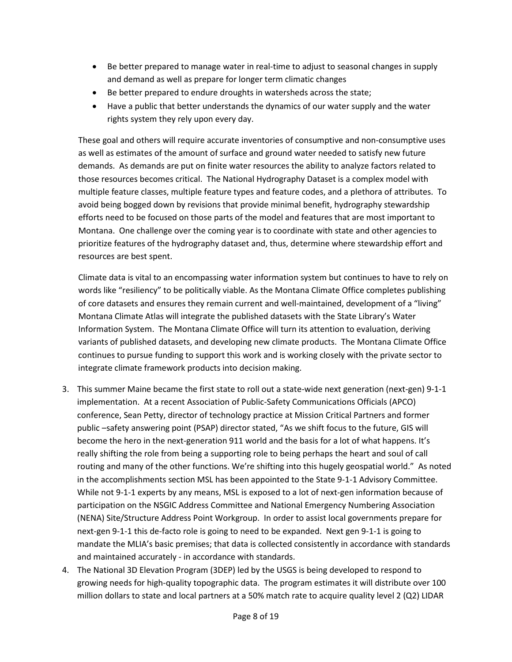- Be better prepared to manage water in real-time to adjust to seasonal changes in supply and demand as well as prepare for longer term climatic changes
- Be better prepared to endure droughts in watersheds across the state;
- Have a public that better understands the dynamics of our water supply and the water rights system they rely upon every day.

These goal and others will require accurate inventories of consumptive and non-consumptive uses as well as estimates of the amount of surface and ground water needed to satisfy new future demands. As demands are put on finite water resources the ability to analyze factors related to those resources becomes critical. The National Hydrography Dataset is a complex model with multiple feature classes, multiple feature types and feature codes, and a plethora of attributes. To avoid being bogged down by revisions that provide minimal benefit, hydrography stewardship efforts need to be focused on those parts of the model and features that are most important to Montana. One challenge over the coming year is to coordinate with state and other agencies to prioritize features of the hydrography dataset and, thus, determine where stewardship effort and resources are best spent.

Climate data is vital to an encompassing water information system but continues to have to rely on words like "resiliency" to be politically viable. As the Montana Climate Office completes publishing of core datasets and ensures they remain current and well-maintained, development of a "living" Montana Climate Atlas will integrate the published datasets with the State Library's Water Information System. The Montana Climate Office will turn its attention to evaluation, deriving variants of published datasets, and developing new climate products. The Montana Climate Office continues to pursue funding to support this work and is working closely with the private sector to integrate climate framework products into decision making.

- 3. This summer Maine became the first state to roll out a state-wide next generation (next-gen) 9-1-1 implementation. At a recent Association of Public-Safety Communications Officials (APCO) conference, Sean Petty, director of technology practice at Mission Critical Partners and former public –safety answering point (PSAP) director stated, "As we shift focus to the future, GIS will become the hero in the next-generation 911 world and the basis for a lot of what happens. It's really shifting the role from being a supporting role to being perhaps the heart and soul of call routing and many of the other functions. We're shifting into this hugely geospatial world." As noted in the accomplishments section MSL has been appointed to the State 9-1-1 Advisory Committee. While not 9-1-1 experts by any means, MSL is exposed to a lot of next-gen information because of participation on the NSGIC Address Committee and National Emergency Numbering Association (NENA) Site/Structure Address Point Workgroup. In order to assist local governments prepare for next-gen 9-1-1 this de-facto role is going to need to be expanded. Next gen 9-1-1 is going to mandate the MLIA's basic premises; that data is collected consistently in accordance with standards and maintained accurately - in accordance with standards.
- 4. The National 3D Elevation Program (3DEP) led by the USGS is being developed to respond to growing needs for high-quality topographic data. The program estimates it will distribute over 100 million dollars to state and local partners at a 50% match rate to acquire quality level 2 (Q2) LIDAR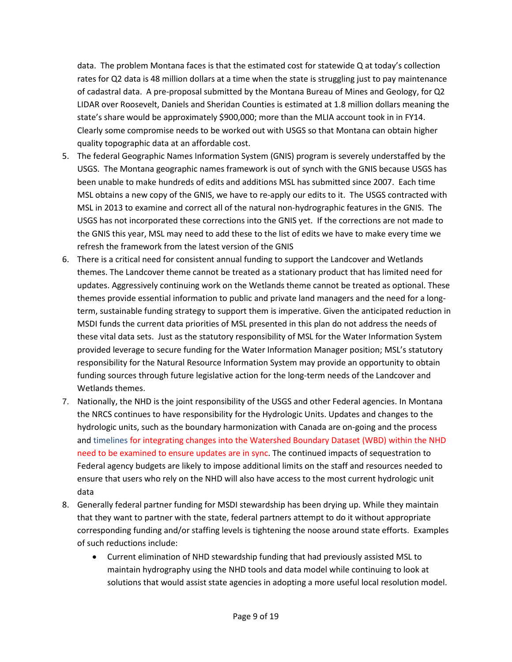data. The problem Montana faces is that the estimated cost for statewide Q at today's collection rates for Q2 data is 48 million dollars at a time when the state is struggling just to pay maintenance of cadastral data. A pre-proposal submitted by the Montana Bureau of Mines and Geology, for Q2 LIDAR over Roosevelt, Daniels and Sheridan Counties is estimated at 1.8 million dollars meaning the state's share would be approximately \$900,000; more than the MLIA account took in in FY14. Clearly some compromise needs to be worked out with USGS so that Montana can obtain higher quality topographic data at an affordable cost.

- 5. The federal Geographic Names Information System (GNIS) program is severely understaffed by the USGS. The Montana geographic names framework is out of synch with the GNIS because USGS has been unable to make hundreds of edits and additions MSL has submitted since 2007. Each time MSL obtains a new copy of the GNIS, we have to re-apply our edits to it. The USGS contracted with MSL in 2013 to examine and correct all of the natural non-hydrographic features in the GNIS. The USGS has not incorporated these corrections into the GNIS yet. If the corrections are not made to the GNIS this year, MSL may need to add these to the list of edits we have to make every time we refresh the framework from the latest version of the GNIS
- 6. There is a critical need for consistent annual funding to support the Landcover and Wetlands themes. The Landcover theme cannot be treated as a stationary product that has limited need for updates. Aggressively continuing work on the Wetlands theme cannot be treated as optional. These themes provide essential information to public and private land managers and the need for a longterm, sustainable funding strategy to support them is imperative. Given the anticipated reduction in MSDI funds the current data priorities of MSL presented in this plan do not address the needs of these vital data sets. Just as the statutory responsibility of MSL for the Water Information System provided leverage to secure funding for the Water Information Manager position; MSL's statutory responsibility for the Natural Resource Information System may provide an opportunity to obtain funding sources through future legislative action for the long-term needs of the Landcover and Wetlands themes.
- 7. Nationally, the NHD is the joint responsibility of the USGS and other Federal agencies. In Montana the NRCS continues to have responsibility for the Hydrologic Units. Updates and changes to the hydrologic units, such as the boundary harmonization with Canada are on-going and the process and timelines for integrating changes into the Watershed Boundary Dataset (WBD) within the NHD need to be examined to ensure updates are in sync. The continued impacts of sequestration to Federal agency budgets are likely to impose additional limits on the staff and resources needed to ensure that users who rely on the NHD will also have access to the most current hydrologic unit data
- 8. Generally federal partner funding for MSDI stewardship has been drying up. While they maintain that they want to partner with the state, federal partners attempt to do it without appropriate corresponding funding and/or staffing levels is tightening the noose around state efforts. Examples of such reductions include:
	- Current elimination of NHD stewardship funding that had previously assisted MSL to maintain hydrography using the NHD tools and data model while continuing to look at solutions that would assist state agencies in adopting a more useful local resolution model.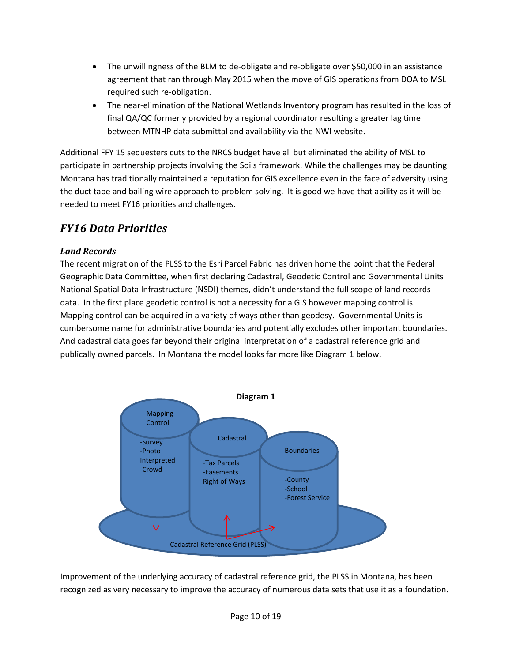- The unwillingness of the BLM to de-obligate and re-obligate over \$50,000 in an assistance agreement that ran through May 2015 when the move of GIS operations from DOA to MSL required such re-obligation.
- The near-elimination of the National Wetlands Inventory program has resulted in the loss of final QA/QC formerly provided by a regional coordinator resulting a greater lag time between MTNHP data submittal and availability via the NWI website.

Additional FFY 15 sequesters cuts to the NRCS budget have all but eliminated the ability of MSL to participate in partnership projects involving the Soils framework. While the challenges may be daunting Montana has traditionally maintained a reputation for GIS excellence even in the face of adversity using the duct tape and bailing wire approach to problem solving. It is good we have that ability as it will be needed to meet FY16 priorities and challenges.

# <span id="page-9-0"></span>*FY16 Data Priorities*

# *Land Records*

The recent migration of the PLSS to the Esri Parcel Fabric has driven home the point that the Federal Geographic Data Committee, when first declaring Cadastral, Geodetic Control and Governmental Units National Spatial Data Infrastructure (NSDI) themes, didn't understand the full scope of land records data. In the first place geodetic control is not a necessity for a GIS however mapping control is. Mapping control can be acquired in a variety of ways other than geodesy. Governmental Units is cumbersome name for administrative boundaries and potentially excludes other important boundaries. And cadastral data goes far beyond their original interpretation of a cadastral reference grid and publically owned parcels. In Montana the model looks far more like Diagram 1 below.



Improvement of the underlying accuracy of cadastral reference grid, the PLSS in Montana, has been recognized as very necessary to improve the accuracy of numerous data sets that use it as a foundation.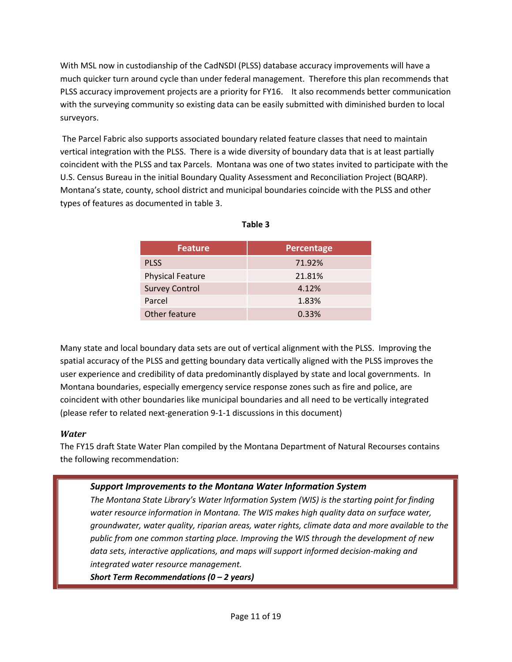With MSL now in custodianship of the CadNSDI (PLSS) database accuracy improvements will have a much quicker turn around cycle than under federal management. Therefore this plan recommends that PLSS accuracy improvement projects are a priority for FY16. It also recommends better communication with the surveying community so existing data can be easily submitted with diminished burden to local surveyors.

The Parcel Fabric also supports associated boundary related feature classes that need to maintain vertical integration with the PLSS. There is a wide diversity of boundary data that is at least partially coincident with the PLSS and tax Parcels. Montana was one of two states invited to participate with the U.S. Census Bureau in the initial Boundary Quality Assessment and Reconciliation Project (BQARP). Montana's state, county, school district and municipal boundaries coincide with the PLSS and other types of features as documented in table 3.

| <b>Feature</b>          | <b>Percentage</b> |
|-------------------------|-------------------|
| <b>PLSS</b>             | 71.92%            |
| <b>Physical Feature</b> | 21.81%            |
| <b>Survey Control</b>   | 4.12%             |
| Parcel                  | 1.83%             |
| Other feature           | 0.33%             |

Many state and local boundary data sets are out of vertical alignment with the PLSS. Improving the spatial accuracy of the PLSS and getting boundary data vertically aligned with the PLSS improves the user experience and credibility of data predominantly displayed by state and local governments. In Montana boundaries, especially emergency service response zones such as fire and police, are coincident with other boundaries like municipal boundaries and all need to be vertically integrated (please refer to related next-generation 9-1-1 discussions in this document)

### *Water*

The FY15 draft State Water Plan compiled by the Montana Department of Natural Recourses contains the following recommendation:

# *Support Improvements to the Montana Water Information System*

*The Montana State Library's Water Information System (WIS) is the starting point for finding water resource information in Montana. The WIS makes high quality data on surface water, groundwater, water quality, riparian areas, water rights, climate data and more available to the public from one common starting place. Improving the WIS through the development of new data sets, interactive applications, and maps will support informed decision-making and integrated water resource management.* 

*Short Term Recommendations (0 – 2 years)*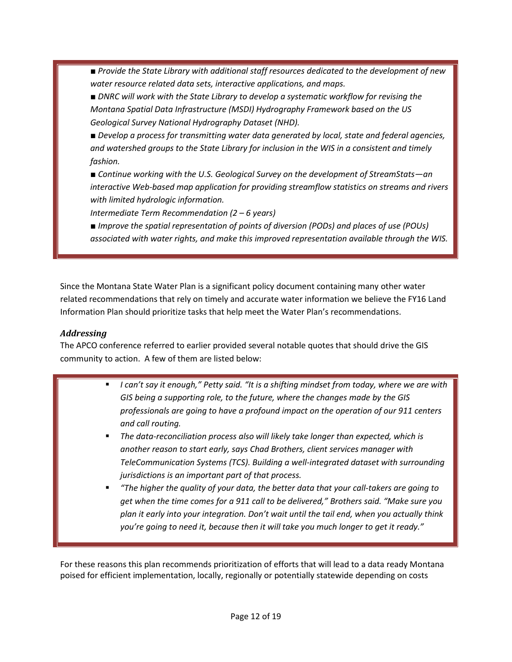■ *Provide the State Library with additional staff resources dedicated to the development of new water resource related data sets, interactive applications, and maps.* 

■ *DNRC will work with the State Library to develop a systematic workflow for revising the Montana Spatial Data Infrastructure (MSDI) Hydrography Framework based on the US Geological Survey National Hydrography Dataset (NHD).*

■ *Develop a process for transmitting water data generated by local, state and federal agencies, and watershed groups to the State Library for inclusion in the WIS in a consistent and timely fashion.*

*■ Continue working with the U.S. Geological Survey on the development of StreamStats—an interactive Web-based map application for providing streamflow statistics on streams and rivers with limited hydrologic information.*

*Intermediate Term Recommendation (2 – 6 years)*

*■ Improve the spatial representation of points of diversion (PODs) and places of use (POUs) associated with water rights, and make this improved representation available through the WIS.*

Since the Montana State Water Plan is a significant policy document containing many other water related recommendations that rely on timely and accurate water information we believe the FY16 Land Information Plan should prioritize tasks that help meet the Water Plan's recommendations.

## *Addressing*

The APCO conference referred to earlier provided several notable quotes that should drive the GIS community to action. A few of them are listed below:

- *I can't say it enough," Petty said. "It is a shifting mindset from today, where we are with GIS being a supporting role, to the future, where the changes made by the GIS professionals are going to have a profound impact on the operation of our 911 centers and call routing.*
- *The data-reconciliation process also will likely take longer than expected, which is another reason to start early, says Chad Brothers, client services manager with TeleCommunication Systems (TCS). Building a well-integrated dataset with surrounding jurisdictions is an important part of that process.*
- *"The higher the quality of your data, the better data that your call-takers are going to get when the time comes for a 911 call to be delivered," Brothers said. "Make sure you plan it early into your integration. Don't wait until the tail end, when you actually think you're going to need it, because then it will take you much longer to get it ready."*

For these reasons this plan recommends prioritization of efforts that will lead to a data ready Montana poised for efficient implementation, locally, regionally or potentially statewide depending on costs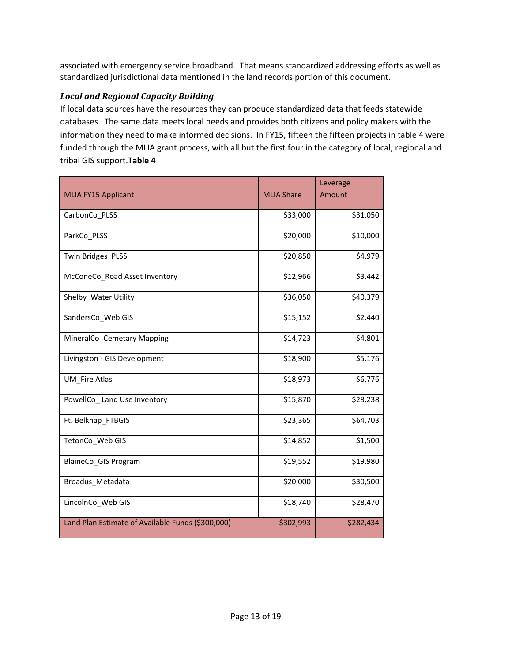associated with emergency service broadband. That means standardized addressing efforts as well as standardized jurisdictional data mentioned in the land records portion of this document.

#### *Local and Regional Capacity Building*

If local data sources have the resources they can produce standardized data that feeds statewide databases. The same data meets local needs and provides both citizens and policy makers with the information they need to make informed decisions. In FY15, fifteen the fifteen projects in table 4 were funded through the MLIA grant process, with all but the first four in the category of local, regional and tribal GIS support.**Table 4**

| <b>MLIA FY15 Applicant</b>                        | <b>MLIA Share</b> | Leverage<br>Amount |
|---------------------------------------------------|-------------------|--------------------|
| CarbonCo_PLSS                                     | \$33,000          | \$31,050           |
| ParkCo_PLSS                                       | \$20,000          | \$10,000           |
| Twin Bridges_PLSS                                 | \$20,850          | \$4,979            |
| McConeCo_Road Asset Inventory                     | \$12,966          | \$3,442            |
| Shelby_Water Utility                              | \$36,050          | \$40,379           |
| SandersCo_Web GIS                                 | \$15,152          | \$2,440            |
| MineralCo_Cemetary Mapping                        | \$14,723          | \$4,801            |
| Livingston - GIS Development                      | \$18,900          | \$5,176            |
| <b>UM Fire Atlas</b>                              | \$18,973          | \$6,776            |
| PowellCo_ Land Use Inventory                      | \$15,870          | \$28,238           |
| Ft. Belknap_FTBGIS                                | \$23,365          | \$64,703           |
| TetonCo_Web GIS                                   | \$14,852          | \$1,500            |
| BlaineCo_GIS Program                              | \$19,552          | \$19,980           |
| Broadus_Metadata                                  | \$20,000          | \$30,500           |
| LincolnCo_Web GIS                                 | \$18,740          | \$28,470           |
| Land Plan Estimate of Available Funds (\$300,000) | \$302,993         | \$282,434          |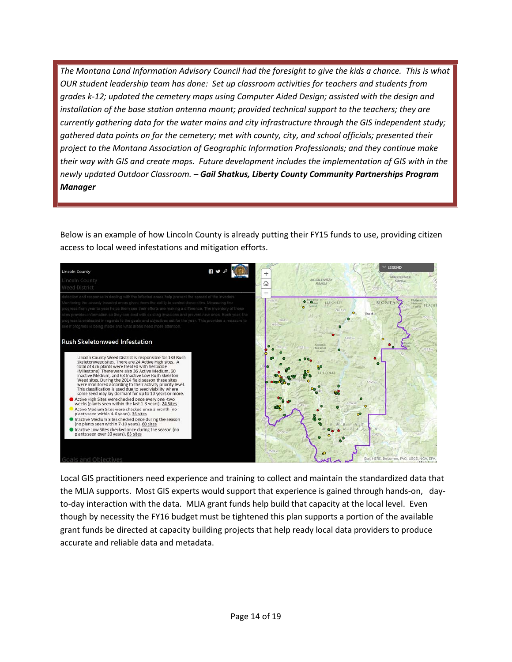*The Montana Land Information Advisory Council had the foresight to give the kids a chance. This is what OUR student leadership team has done: Set up classroom activities for teachers and students from grades k-12; updated the cemetery maps using Computer Aided Design; assisted with the design and installation of the base station antenna mount; provided technical support to the teachers; they are currently gathering data for the water mains and city infrastructure through the GIS independent study; gathered data points on for the cemetery; met with county, city, and school officials; presented their project to the Montana Association of Geographic Information Professionals; and they continue make their way with GIS and create maps. Future development includes the implementation of GIS with in the newly updated Outdoor Classroom. – Gail Shatkus, Liberty County Community Partnerships Program Manager*

Below is an example of how Lincoln County is already putting their FY15 funds to use, providing citizen access to local weed infestations and mitigation efforts.



Local GIS practitioners need experience and training to collect and maintain the standardized data that the MLIA supports. Most GIS experts would support that experience is gained through hands-on, dayto-day interaction with the data. MLIA grant funds help build that capacity at the local level. Even though by necessity the FY16 budget must be tightened this plan supports a portion of the available grant funds be directed at capacity building projects that help ready local data providers to produce accurate and reliable data and metadata.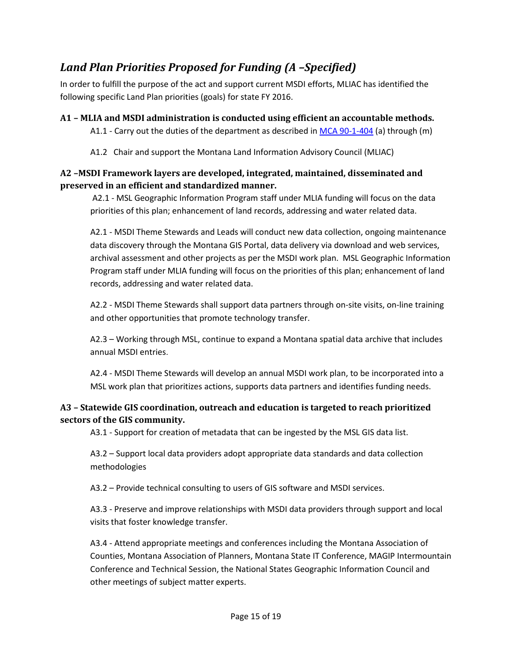# <span id="page-14-0"></span>*Land Plan Priorities Proposed for Funding (A –Specified)*

In order to fulfill the purpose of the act and support current MSDI efforts, MLIAC has identified the following specific Land Plan priorities (goals) for state FY 2016.

<span id="page-14-1"></span>**A1 – MLIA and MSDI administration is conducted using efficient an accountable methods.** A1.1 - Carry out the duties of the department as described in [MCA 90-1-404](http://data.opi.mt.gov/bills/mca/90/1/90-1-404.htm) (a) through (m)

A1.2 Chair and support the Montana Land Information Advisory Council (MLIAC)

# <span id="page-14-2"></span>**A2 –MSDI Framework layers are developed, integrated, maintained, disseminated and preserved in an efficient and standardized manner.**

A2.1 - MSL Geographic Information Program staff under MLIA funding will focus on the data priorities of this plan; enhancement of land records, addressing and water related data.

A2.1 - MSDI Theme Stewards and Leads will conduct new data collection, ongoing maintenance data discovery through the Montana GIS Portal, data delivery via download and web services, archival assessment and other projects as per the MSDI work plan. MSL Geographic Information Program staff under MLIA funding will focus on the priorities of this plan; enhancement of land records, addressing and water related data.

A2.2 - MSDI Theme Stewards shall support data partners through on-site visits, on-line training and other opportunities that promote technology transfer.

A2.3 – Working through MSL, continue to expand a Montana spatial data archive that includes annual MSDI entries.

A2.4 - MSDI Theme Stewards will develop an annual MSDI work plan, to be incorporated into a MSL work plan that prioritizes actions, supports data partners and identifies funding needs.

# <span id="page-14-3"></span>**A3 – Statewide GIS coordination, outreach and education is targeted to reach prioritized sectors of the GIS community.**

A3.1 - Support for creation of metadata that can be ingested by the MSL GIS data list.

A3.2 – Support local data providers adopt appropriate data standards and data collection methodologies

A3.2 – Provide technical consulting to users of GIS software and MSDI services.

A3.3 - Preserve and improve relationships with MSDI data providers through support and local visits that foster knowledge transfer.

A3.4 - Attend appropriate meetings and conferences including the Montana Association of Counties, Montana Association of Planners, Montana State IT Conference, MAGIP Intermountain Conference and Technical Session, the National States Geographic Information Council and other meetings of subject matter experts.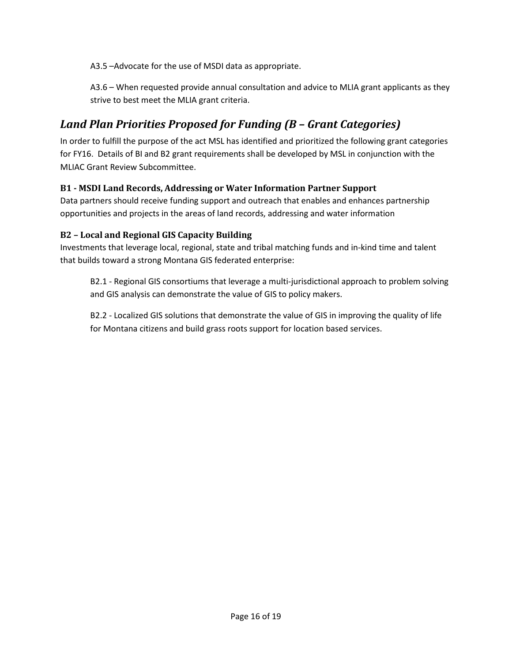A3.5 –Advocate for the use of MSDI data as appropriate.

A3.6 – When requested provide annual consultation and advice to MLIA grant applicants as they strive to best meet the MLIA grant criteria.

# <span id="page-15-0"></span>*Land Plan Priorities Proposed for Funding (B – Grant Categories)*

In order to fulfill the purpose of the act MSL has identified and prioritized the following grant categories for FY16. Details of BI and B2 grant requirements shall be developed by MSL in conjunction with the MLIAC Grant Review Subcommittee.

### <span id="page-15-1"></span>**B1 - MSDI Land Records, Addressing or Water Information Partner Support**

Data partners should receive funding support and outreach that enables and enhances partnership opportunities and projects in the areas of land records, addressing and water information

### <span id="page-15-2"></span>**B2 – Local and Regional GIS Capacity Building**

Investments that leverage local, regional, state and tribal matching funds and in-kind time and talent that builds toward a strong Montana GIS federated enterprise:

B2.1 - Regional GIS consortiums that leverage a multi-jurisdictional approach to problem solving and GIS analysis can demonstrate the value of GIS to policy makers.

B2.2 - Localized GIS solutions that demonstrate the value of GIS in improving the quality of life for Montana citizens and build grass roots support for location based services.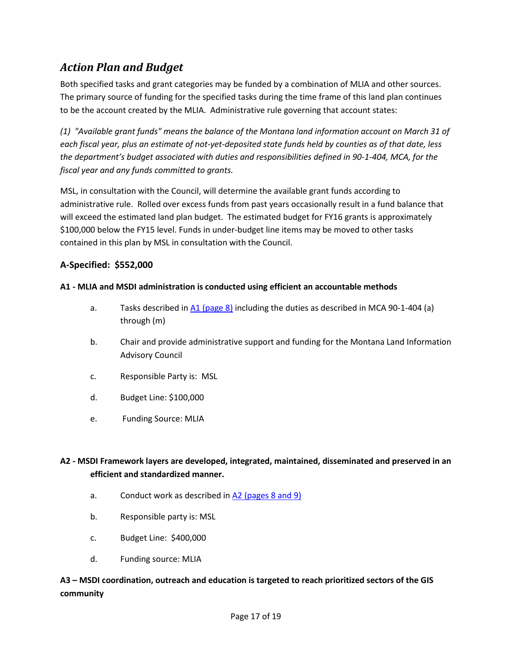# <span id="page-16-0"></span>*Action Plan and Budget*

Both specified tasks and grant categories may be funded by a combination of MLIA and other sources. The primary source of funding for the specified tasks during the time frame of this land plan continues to be the account created by the MLIA. Administrative rule governing that account states:

*(1) "Available grant funds" means the balance of the Montana land information account on March 31 of each fiscal year, plus an estimate of not-yet-deposited state funds held by counties as of that date, less the department's budget associated with duties and responsibilities defined in 90-1-404, MCA, for the fiscal year and any funds committed to grants.*

MSL, in consultation with the Council, will determine the available grant funds according to administrative rule. Rolled over excess funds from past years occasionally result in a fund balance that will exceed the estimated land plan budget. The estimated budget for FY16 grants is approximately \$100,000 below the FY15 level. Funds in under-budget line items may be moved to other tasks contained in this plan by MSL in consultation with the Council.

# **A-Specified: \$552,000**

#### **A1 - MLIA and MSDI administration is conducted using efficient an accountable methods**

- a. Tasks described in  $\underline{A1}$  [\(page 8\)](#page-14-1) including the duties as described in MCA 90-1-404 (a) through (m)
- b. Chair and provide administrative support and funding for the Montana Land Information Advisory Council
- c. Responsible Party is: MSL
- d. Budget Line: \$100,000
- e. Funding Source: MLIA

# **A2 - MSDI Framework layers are developed, integrated, maintained, disseminated and preserved in an efficient and standardized manner.**

- a. Conduct work as described in  $A2$  (pages 8 and 9)
- b. Responsible party is: MSL
- c. Budget Line: \$400,000
- d. Funding source: MLIA

### **A3 – MSDI coordination, outreach and education is targeted to reach prioritized sectors of the GIS community**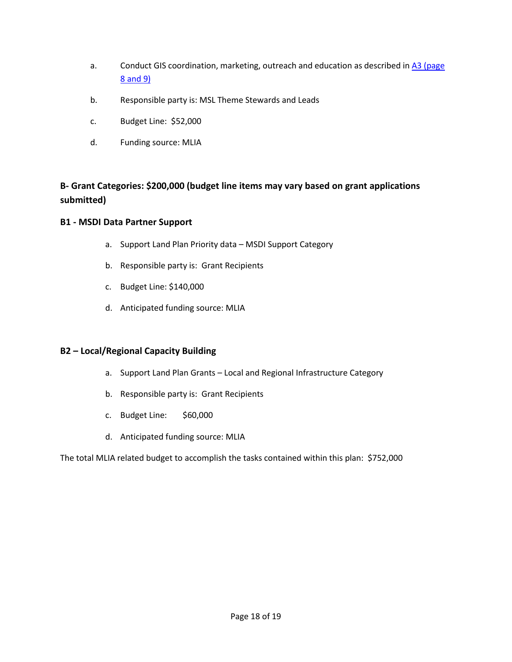- a. Conduct GIS coordination, marketing, outreach and education as described in A3 (page [8 and 9\)](#page-14-3)
- b. Responsible party is: MSL Theme Stewards and Leads
- c. Budget Line: \$52,000
- d. Funding source: MLIA

# **B- Grant Categories: \$200,000 (budget line items may vary based on grant applications submitted)**

#### **B1 - MSDI Data Partner Support**

- a. Support Land Plan Priority data MSDI Support Category
- b. Responsible party is: Grant Recipients
- c. Budget Line: \$140,000
- d. Anticipated funding source: MLIA

### **B2 – Local/Regional Capacity Building**

- a. Support Land Plan Grants Local and Regional Infrastructure Category
- b. Responsible party is: Grant Recipients
- c. Budget Line: \$60,000
- d. Anticipated funding source: MLIA

The total MLIA related budget to accomplish the tasks contained within this plan: \$752,000